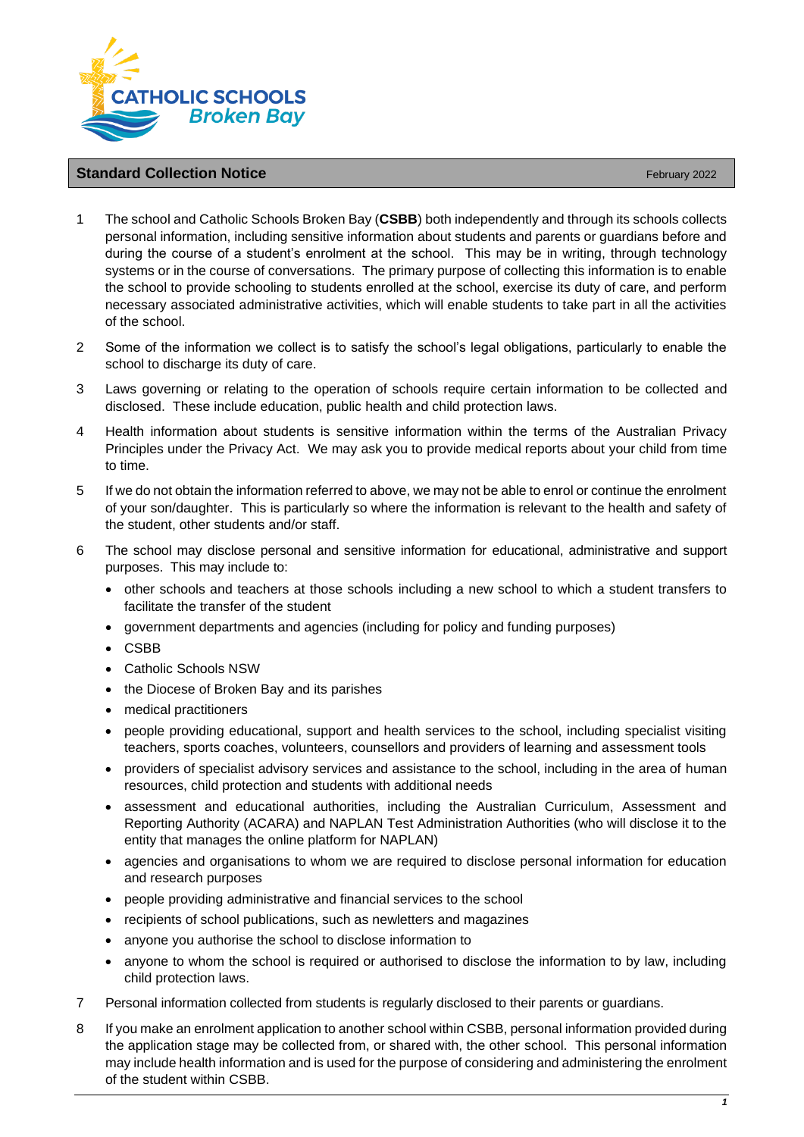

## **Standard Collection Notice** February 2022

- 1 The school and Catholic Schools Broken Bay (**CSBB**) both independently and through its schools collects personal information, including sensitive information about students and parents or guardians before and during the course of a student's enrolment at the school. This may be in writing, through technology systems or in the course of conversations. The primary purpose of collecting this information is to enable the school to provide schooling to students enrolled at the school, exercise its duty of care, and perform necessary associated administrative activities, which will enable students to take part in all the activities of the school.
- 2 Some of the information we collect is to satisfy the school's legal obligations, particularly to enable the school to discharge its duty of care.
- 3 Laws governing or relating to the operation of schools require certain information to be collected and disclosed. These include education, public health and child protection laws.
- 4 Health information about students is sensitive information within the terms of the Australian Privacy Principles under the Privacy Act. We may ask you to provide medical reports about your child from time to time.
- 5 If we do not obtain the information referred to above, we may not be able to enrol or continue the enrolment of your son/daughter. This is particularly so where the information is relevant to the health and safety of the student, other students and/or staff.
- 6 The school may disclose personal and sensitive information for educational, administrative and support purposes. This may include to:
	- other schools and teachers at those schools including a new school to which a student transfers to facilitate the transfer of the student
	- government departments and agencies (including for policy and funding purposes)
	- CSBB
	- Catholic Schools NSW
	- the Diocese of Broken Bay and its parishes
	- medical practitioners
	- people providing educational, support and health services to the school, including specialist visiting teachers, sports coaches, volunteers, counsellors and providers of learning and assessment tools
	- providers of specialist advisory services and assistance to the school, including in the area of human resources, child protection and students with additional needs
	- assessment and educational authorities, including the Australian Curriculum, Assessment and Reporting Authority (ACARA) and NAPLAN Test Administration Authorities (who will disclose it to the entity that manages the online platform for NAPLAN)
	- agencies and organisations to whom we are required to disclose personal information for education and research purposes
	- people providing administrative and financial services to the school
	- recipients of school publications, such as newletters and magazines
	- anyone you authorise the school to disclose information to
	- anyone to whom the school is required or authorised to disclose the information to by law, including child protection laws.
- 7 Personal information collected from students is regularly disclosed to their parents or guardians.
- 8 If you make an enrolment application to another school within CSBB, personal information provided during the application stage may be collected from, or shared with, the other school. This personal information may include health information and is used for the purpose of considering and administering the enrolment of the student within CSBB.